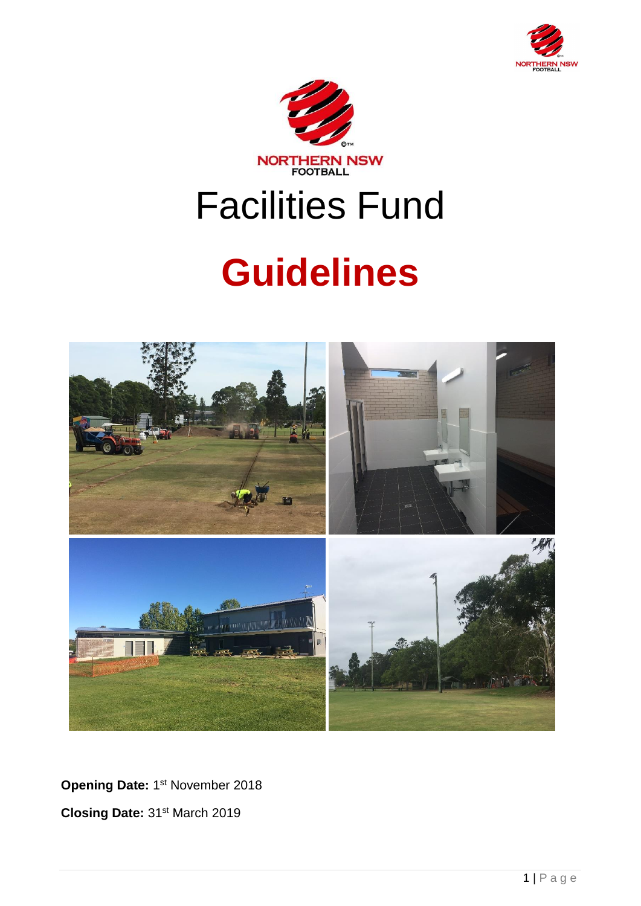



# Facilities Fund

# **Guidelines**



Opening Date: 1<sup>st</sup> November 2018 **Closing Date:** 31st March 2019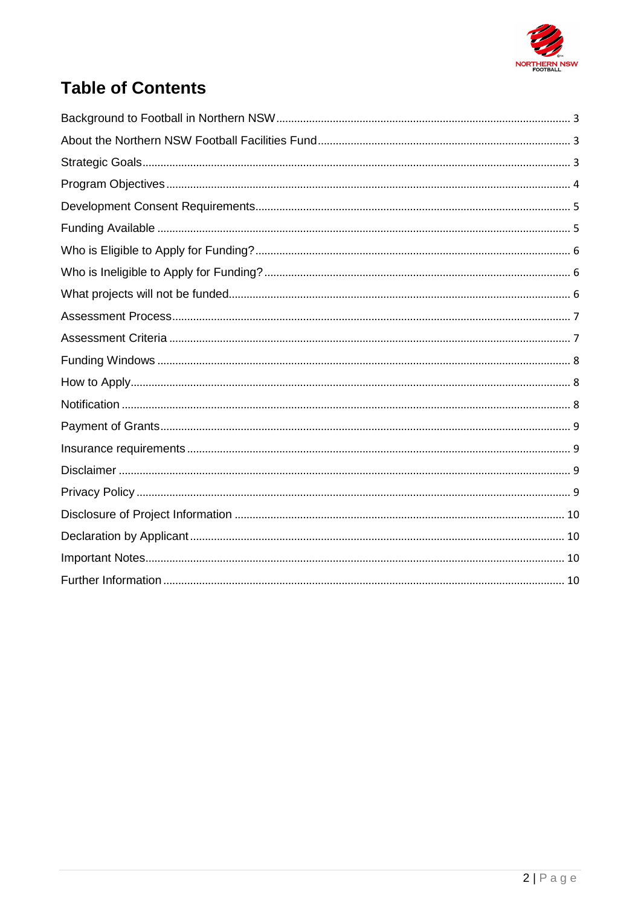

# **Table of Contents**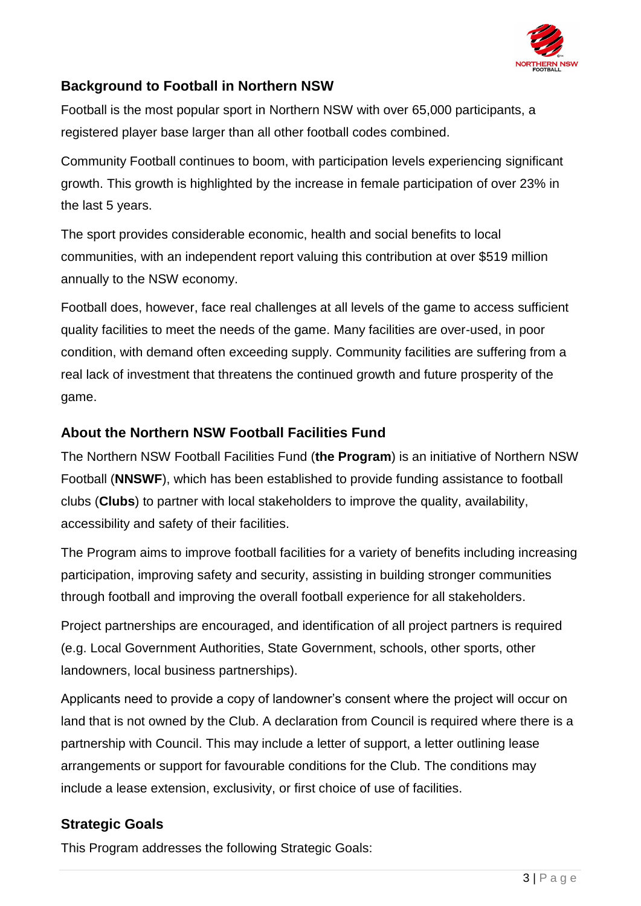

# <span id="page-2-0"></span>**Background to Football in Northern NSW**

Football is the most popular sport in Northern NSW with over 65,000 participants, a registered player base larger than all other football codes combined.

Community Football continues to boom, with participation levels experiencing significant growth. This growth is highlighted by the increase in female participation of over 23% in the last 5 years.

The sport provides considerable economic, health and social benefits to local communities, with an independent report valuing this contribution at over \$519 million annually to the NSW economy.

Football does, however, face real challenges at all levels of the game to access sufficient quality facilities to meet the needs of the game. Many facilities are over-used, in poor condition, with demand often exceeding supply. Community facilities are suffering from a real lack of investment that threatens the continued growth and future prosperity of the game.

#### <span id="page-2-1"></span>**About the Northern NSW Football Facilities Fund**

The Northern NSW Football Facilities Fund (**the Program**) is an initiative of Northern NSW Football (**NNSWF**), which has been established to provide funding assistance to football clubs (**Clubs**) to partner with local stakeholders to improve the quality, availability, accessibility and safety of their facilities.

The Program aims to improve football facilities for a variety of benefits including increasing participation, improving safety and security, assisting in building stronger communities through football and improving the overall football experience for all stakeholders.

Project partnerships are encouraged, and identification of all project partners is required (e.g. Local Government Authorities, State Government, schools, other sports, other landowners, local business partnerships).

Applicants need to provide a copy of landowner's consent where the project will occur on land that is not owned by the Club. A declaration from Council is required where there is a partnership with Council. This may include a letter of support, a letter outlining lease arrangements or support for favourable conditions for the Club. The conditions may include a lease extension, exclusivity, or first choice of use of facilities.

#### <span id="page-2-2"></span>**Strategic Goals**

This Program addresses the following Strategic Goals: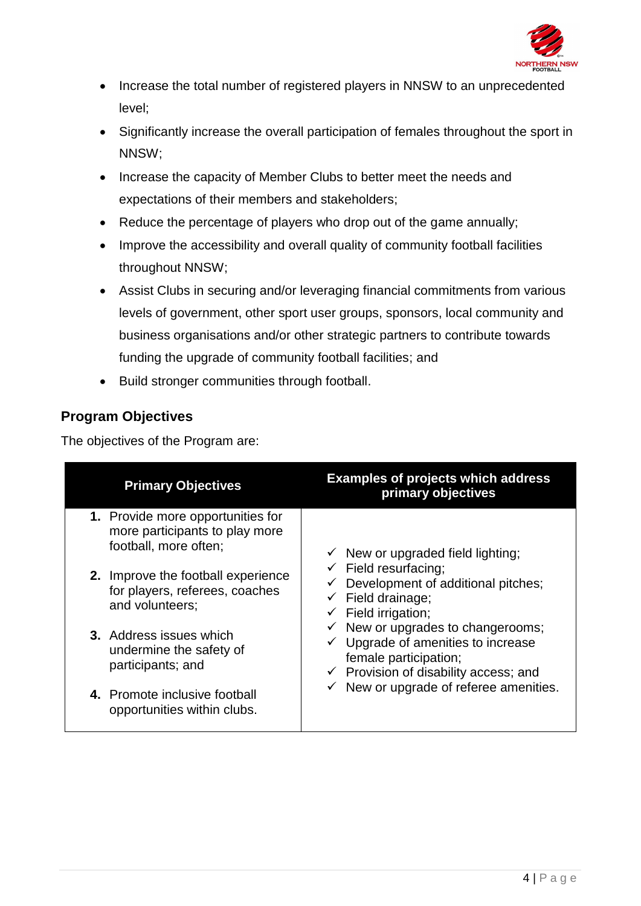

- Increase the total number of registered players in NNSW to an unprecedented level;
- Significantly increase the overall participation of females throughout the sport in NNSW;
- Increase the capacity of Member Clubs to better meet the needs and expectations of their members and stakeholders;
- Reduce the percentage of players who drop out of the game annually;
- Improve the accessibility and overall quality of community football facilities throughout NNSW;
- Assist Clubs in securing and/or leveraging financial commitments from various levels of government, other sport user groups, sponsors, local community and business organisations and/or other strategic partners to contribute towards funding the upgrade of community football facilities; and
- Build stronger communities through football.

# <span id="page-3-0"></span>**Program Objectives**

The objectives of the Program are:

| <b>Primary Objectives</b>                                                                    | <b>Examples of projects which address</b><br>primary objectives                                                                                                                                                                                                                                                                                                                                                                         |
|----------------------------------------------------------------------------------------------|-----------------------------------------------------------------------------------------------------------------------------------------------------------------------------------------------------------------------------------------------------------------------------------------------------------------------------------------------------------------------------------------------------------------------------------------|
| 1. Provide more opportunities for<br>more participants to play more<br>football, more often; | $\checkmark$ New or upgraded field lighting;<br>$\checkmark$ Field resurfacing;<br>$\checkmark$ Development of additional pitches;<br>$\checkmark$ Field drainage;<br>$\checkmark$ Field irrigation;<br>$\checkmark$ New or upgrades to changerooms;<br>$\checkmark$ Upgrade of amenities to increase<br>female participation;<br>$\checkmark$ Provision of disability access; and<br>$\checkmark$ New or upgrade of referee amenities. |
| 2. Improve the football experience<br>for players, referees, coaches<br>and volunteers;      |                                                                                                                                                                                                                                                                                                                                                                                                                                         |
| <b>3.</b> Address issues which<br>undermine the safety of<br>participants; and               |                                                                                                                                                                                                                                                                                                                                                                                                                                         |
| 4. Promote inclusive football<br>opportunities within clubs.                                 |                                                                                                                                                                                                                                                                                                                                                                                                                                         |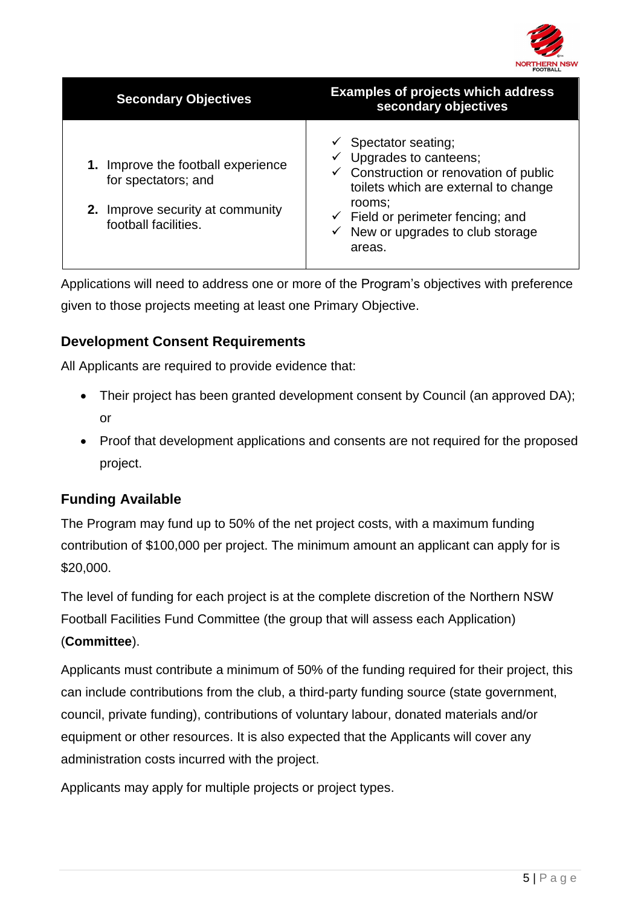

| <b>Secondary Objectives</b>                                                                                        | <b>Examples of projects which address</b><br>secondary objectives                                                                                                                                                                                  |
|--------------------------------------------------------------------------------------------------------------------|----------------------------------------------------------------------------------------------------------------------------------------------------------------------------------------------------------------------------------------------------|
| Improve the football experience<br>for spectators; and<br>2. Improve security at community<br>football facilities. | Spectator seating;<br>Upgrades to canteens;<br>Construction or renovation of public<br>$\checkmark$<br>toilets which are external to change<br>rooms:<br>$\checkmark$ Field or perimeter fencing; and<br>New or upgrades to club storage<br>areas. |

Applications will need to address one or more of the Program's objectives with preference given to those projects meeting at least one Primary Objective.

# <span id="page-4-0"></span>**Development Consent Requirements**

All Applicants are required to provide evidence that:

- Their project has been granted development consent by Council (an approved DA); or
- Proof that development applications and consents are not required for the proposed project.

# <span id="page-4-1"></span>**Funding Available**

The Program may fund up to 50% of the net project costs, with a maximum funding contribution of \$100,000 per project. The minimum amount an applicant can apply for is \$20,000.

The level of funding for each project is at the complete discretion of the Northern NSW Football Facilities Fund Committee (the group that will assess each Application) (**Committee**).

Applicants must contribute a minimum of 50% of the funding required for their project, this can include contributions from the club, a third-party funding source (state government, council, private funding), contributions of voluntary labour, donated materials and/or equipment or other resources. It is also expected that the Applicants will cover any administration costs incurred with the project.

Applicants may apply for multiple projects or project types.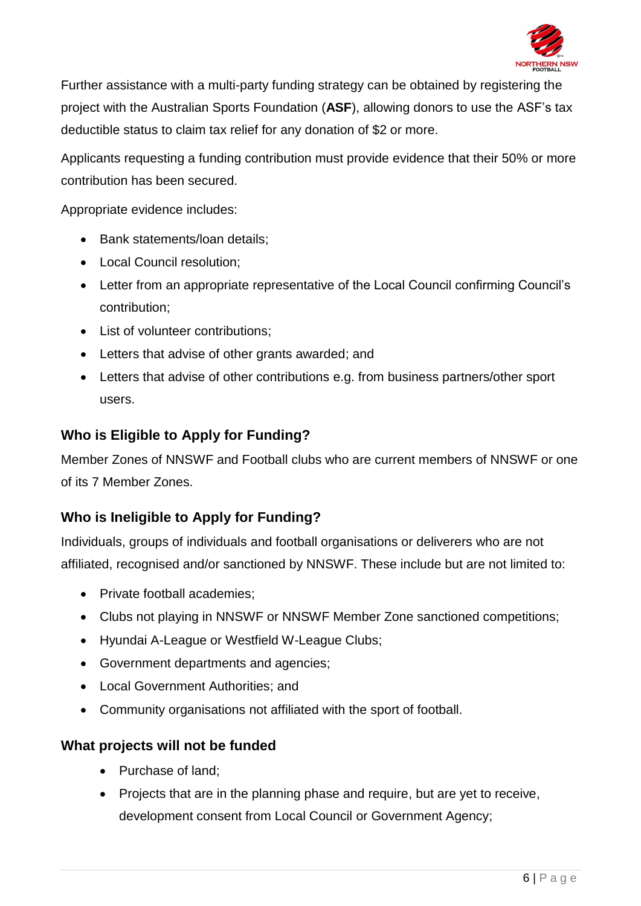

Further assistance with a multi-party funding strategy can be obtained by registering the project with the Australian Sports Foundation (**ASF**), allowing donors to use the ASF's tax deductible status to claim tax relief for any donation of \$2 or more.

Applicants requesting a funding contribution must provide evidence that their 50% or more contribution has been secured.

Appropriate evidence includes:

- Bank statements/loan details;
- Local Council resolution;
- Letter from an appropriate representative of the Local Council confirming Council's contribution;
- List of volunteer contributions;
- Letters that advise of other grants awarded; and
- Letters that advise of other contributions e.g. from business partners/other sport users.

#### <span id="page-5-0"></span>**Who is Eligible to Apply for Funding?**

Member Zones of NNSWF and Football clubs who are current members of NNSWF or one of its 7 Member Zones.

# <span id="page-5-1"></span>**Who is Ineligible to Apply for Funding?**

Individuals, groups of individuals and football organisations or deliverers who are not affiliated, recognised and/or sanctioned by NNSWF. These include but are not limited to:

- Private football academies;
- Clubs not playing in NNSWF or NNSWF Member Zone sanctioned competitions;
- Hyundai A-League or Westfield W-League Clubs;
- Government departments and agencies;
- Local Government Authorities; and
- Community organisations not affiliated with the sport of football.

# <span id="page-5-2"></span>**What projects will not be funded**

- Purchase of land:
- Projects that are in the planning phase and require, but are yet to receive, development consent from Local Council or Government Agency;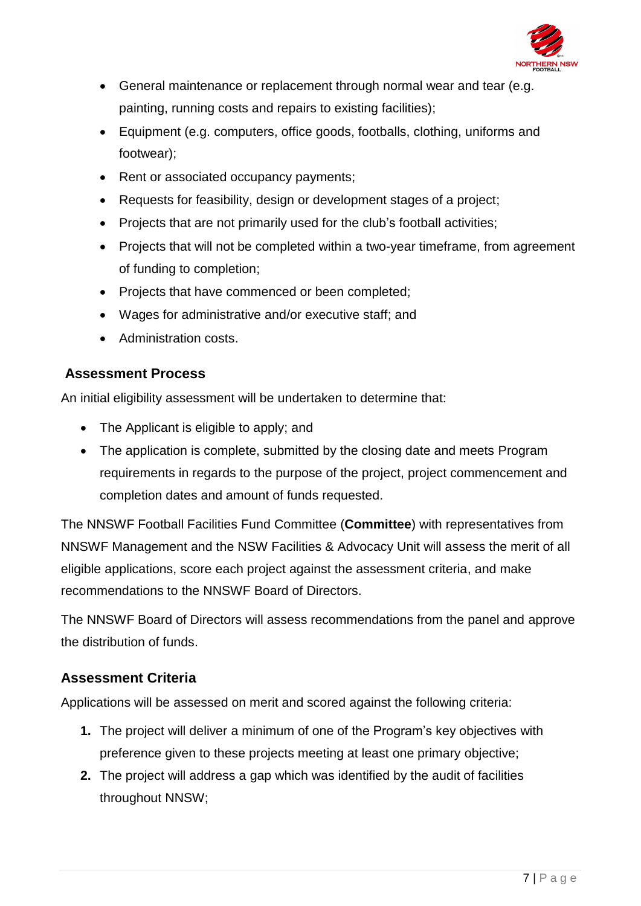

- General maintenance or replacement through normal wear and tear (e.g. painting, running costs and repairs to existing facilities);
- Equipment (e.g. computers, office goods, footballs, clothing, uniforms and footwear);
- Rent or associated occupancy payments;
- Requests for feasibility, design or development stages of a project;
- Projects that are not primarily used for the club's football activities;
- Projects that will not be completed within a two-year timeframe, from agreement of funding to completion;
- Projects that have commenced or been completed;
- Wages for administrative and/or executive staff; and
- Administration costs.

# <span id="page-6-0"></span>**Assessment Process**

An initial eligibility assessment will be undertaken to determine that:

- The Applicant is eligible to apply; and
- The application is complete, submitted by the closing date and meets Program requirements in regards to the purpose of the project, project commencement and completion dates and amount of funds requested.

The NNSWF Football Facilities Fund Committee (**Committee**) with representatives from NNSWF Management and the NSW Facilities & Advocacy Unit will assess the merit of all eligible applications, score each project against the assessment criteria, and make recommendations to the NNSWF Board of Directors.

The NNSWF Board of Directors will assess recommendations from the panel and approve the distribution of funds.

# <span id="page-6-1"></span>**Assessment Criteria**

Applications will be assessed on merit and scored against the following criteria:

- **1.** The project will deliver a minimum of one of the Program's key objectives with preference given to these projects meeting at least one primary objective;
- **2.** The project will address a gap which was identified by the audit of facilities throughout NNSW;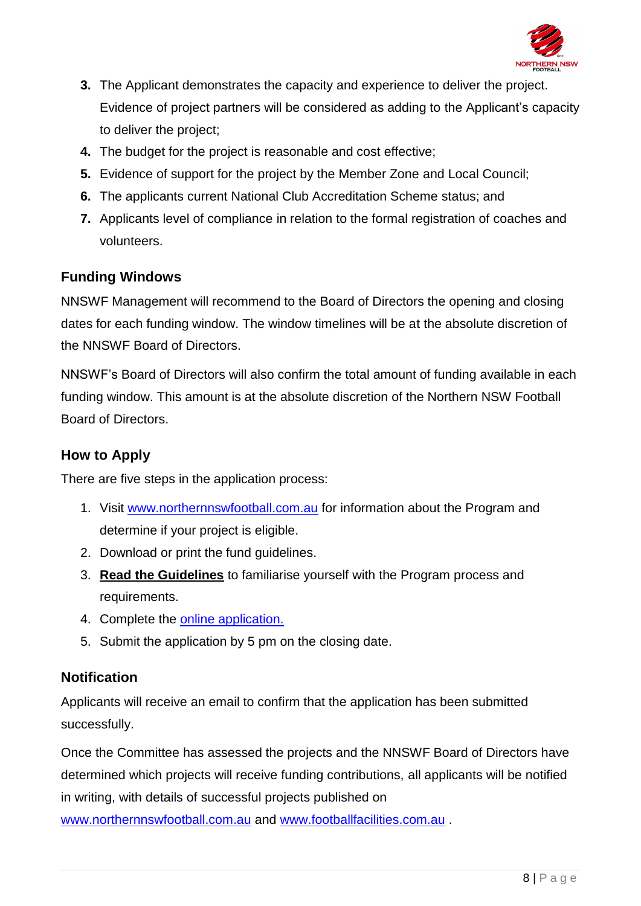

- **3.** The Applicant demonstrates the capacity and experience to deliver the project. Evidence of project partners will be considered as adding to the Applicant's capacity to deliver the project;
- **4.** The budget for the project is reasonable and cost effective;
- **5.** Evidence of support for the project by the Member Zone and Local Council;
- **6.** The applicants current National Club Accreditation Scheme status; and
- **7.** Applicants level of compliance in relation to the formal registration of coaches and volunteers.

# <span id="page-7-0"></span>**Funding Windows**

NNSWF Management will recommend to the Board of Directors the opening and closing dates for each funding window. The window timelines will be at the absolute discretion of the NNSWF Board of Directors.

NNSWF's Board of Directors will also confirm the total amount of funding available in each funding window. This amount is at the absolute discretion of the Northern NSW Football Board of Directors.

### <span id="page-7-1"></span>**How to Apply**

There are five steps in the application process:

- 1. Visit [www.northernnswfootball.com.au](http://www.northernnswfootball.com.au/) for information about the Program and determine if your project is eligible.
- 2. Download or print the fund guidelines.
- 3. **Read the Guidelines** to familiarise yourself with the Program process and requirements.
- 4. Complete the [online application.](https://form.jotform.co/83397197663877)
- 5. Submit the application by 5 pm on the closing date.

# <span id="page-7-2"></span>**Notification**

Applicants will receive an email to confirm that the application has been submitted successfully.

Once the Committee has assessed the projects and the NNSWF Board of Directors have determined which projects will receive funding contributions, all applicants will be notified in writing, with details of successful projects published on

[www.northernnswfootball.com.au](http://www.northernnswfootball.com.au/) and [www.footballfacilities.com.au](http://www.footballfacilities.com.au/) .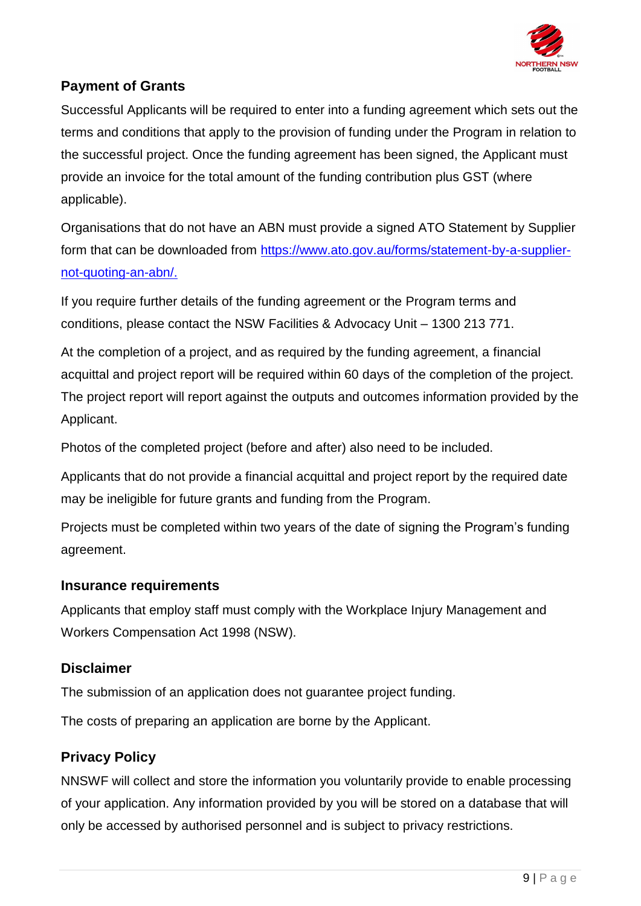

# <span id="page-8-0"></span>**Payment of Grants**

Successful Applicants will be required to enter into a funding agreement which sets out the terms and conditions that apply to the provision of funding under the Program in relation to the successful project. Once the funding agreement has been signed, the Applicant must provide an invoice for the total amount of the funding contribution plus GST (where applicable).

Organisations that do not have an ABN must provide a signed ATO Statement by Supplier form that can be downloaded from [https://www.ato.gov.au/forms/statement-by-a-supplier](https://www.ato.gov.au/forms/statement-by-a-supplier-not-quoting-an-abn/)[not-quoting-an-abn/.](https://www.ato.gov.au/forms/statement-by-a-supplier-not-quoting-an-abn/)

If you require further details of the funding agreement or the Program terms and conditions, please contact the NSW Facilities & Advocacy Unit – 1300 213 771.

At the completion of a project, and as required by the funding agreement, a financial acquittal and project report will be required within 60 days of the completion of the project. The project report will report against the outputs and outcomes information provided by the Applicant.

Photos of the completed project (before and after) also need to be included.

Applicants that do not provide a financial acquittal and project report by the required date may be ineligible for future grants and funding from the Program.

Projects must be completed within two years of the date of signing the Program's funding agreement.

#### <span id="page-8-1"></span>**Insurance requirements**

Applicants that employ staff must comply with the Workplace Injury Management and Workers Compensation Act 1998 (NSW).

# <span id="page-8-2"></span>**Disclaimer**

The submission of an application does not guarantee project funding.

The costs of preparing an application are borne by the Applicant.

# <span id="page-8-3"></span>**Privacy Policy**

NNSWF will collect and store the information you voluntarily provide to enable processing of your application. Any information provided by you will be stored on a database that will only be accessed by authorised personnel and is subject to privacy restrictions.